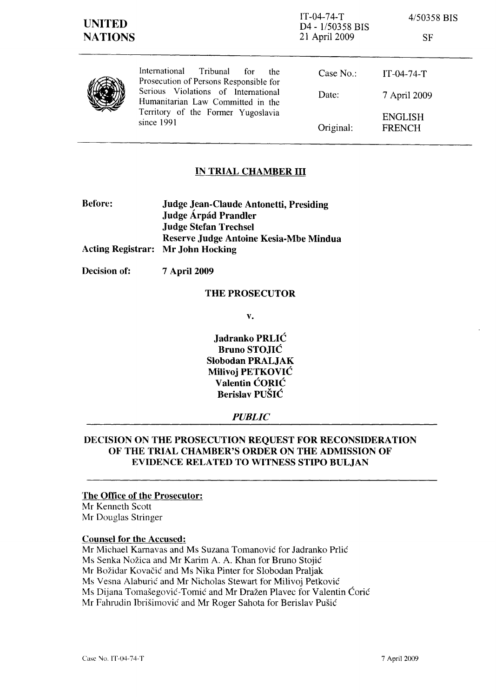IT-04-74-T D4 - 1/50358 BIS 21 April 2009

*4/50358* BIS

|  | International<br>Tribunal<br>for<br>the<br>Prosecution of Persons Responsible for<br>Serious Violations of International<br>Humanitarian Law Committed in the<br>Territory of the Former Yugoslavia<br>since 1991 | Case $No.$ : | $IT-04-74-T$                    |
|--|-------------------------------------------------------------------------------------------------------------------------------------------------------------------------------------------------------------------|--------------|---------------------------------|
|  |                                                                                                                                                                                                                   | Date:        | 7 April 2009                    |
|  |                                                                                                                                                                                                                   | Original:    | <b>ENGLISH</b><br><b>FRENCH</b> |

## IN TRIAL CHAMBER **III**

| <b>Before:</b> | Judge Jean-Claude Antonetti, Presiding   |  |
|----------------|------------------------------------------|--|
|                | Judge Árpád Prandler                     |  |
|                | <b>Judge Stefan Trechsel</b>             |  |
|                | Reserve Judge Antoine Kesia-Mbe Mindua   |  |
|                | <b>Acting Registrar: Mr John Hocking</b> |  |

Decision of: 7 April 2009

#### THE PROSECUTOR

v.

Jadranko PRLIC Bruno STOJIC Slobodan PRALJAK Milivoj PETKOVIC Valentin CORIC Berislav PUSIC

### *PUBLIC*

# DECISION ON THE PROSECUTION REQUEST FOR RECONSIDERATION OF THE TRIAL CHAMBER'S ORDER ON THE ADMISSION OF EVIDENCE RELATED TO WITNESS STIPO BULJAN

### The Office of the Prosecutor:

Mr Kenneth Scott Mr Douglas Stringer

#### Counsel for the Accused:

Mr Michael Kamavas and Ms Suzana Tomanovic for ladranko Prlic Ms Senka Nozica and Mr Karim A. A. Khan for Bruno StojiC Mr Bozidar Kovacic and Ms Nika Pinter for Slobodan Praljak Ms Vesna Alaburic and Mr Nicholas Stewart for Milivoj Petkovic Ms Dijana Tomasegovic-Tomic and Mr Drazen Plavec for Valentin Coric Mr Fahrudin Ibrisimovic and Mr Roger Sahota for Berislav Pusic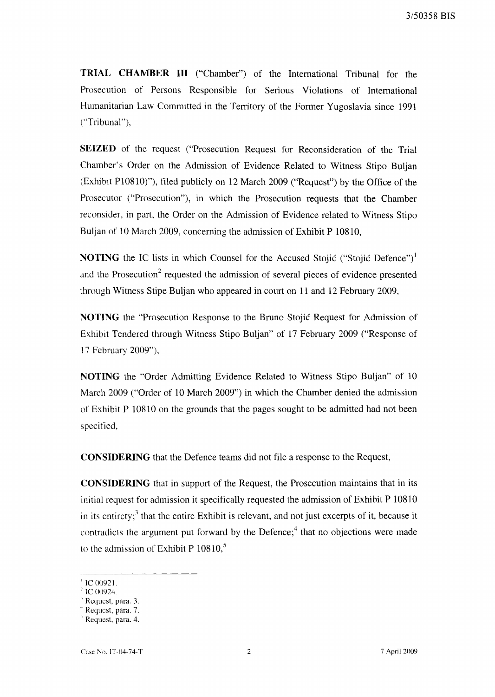**TRIAL CHAMBER III** ("Chamber") of the International Tribunal for the Prosecution of Persons Responsible for Serious Violations of International Humanitarian Law Committed in the Territory of the Former Yugoslavia since 1991 ("Tribunal"),

**SEIZED** of the request ("Prosecution Request for Reconsideration of the Trial Chamber's Order on the Admission of Evidence Related to Witness Stipo Buljan  $(Exhibit P10810)$ "), filed publicly on 12 March 2009 ("Request") by the Office of the Prosecutor ("Prosecution"), in which the Prosecution requests that the Chamber reconsider, in part, the Order on the Admission of Evidence related to Witness Stipo Buljan of 10 March 2009, concerning the admission of Exhibit P 10810,

**NOTING** the IC lists in which Counsel for the Accused Stojić ("Stojić Defence")<sup>1</sup> and the Prosecution<sup>2</sup> requested the admission of several pieces of evidence presented through Witness Stipe Buljan who appeared in court on 11 and 12 February 2009,

**NOTING** the "Prosecution Response to the Bruno Stojic Request for Admission of Exhibit Tendered through Witness Stipo Buljan" of 17 February 2009 ("Response of 17 February 2009"),

**NOTING** the "Order Admitting Evidence Related to Witness Stipo Buljan" of 10 March 2009 ("Order of 10 March 2009") in which the Chamber denied the admission of Exhibit P 10810 on the grounds that the pages sought to be admitted had not been specified,

**CONSIDERING** that the Defence teams did not file a response to the Request,

**CONSIDERING** that in support of the Request, the Prosecution maintains that in its initial request for admission it specifically requested the admission of Exhibit P 10810 in its entirety;<sup>3</sup> that the entire Exhibit is relevant, and not just excerpts of it, because it contradicts the argument put forward by the Defence;<sup>4</sup> that no objections were made to the admission of Exhibit P  $10810$ ,<sup>5</sup>

 $\,^{\text{i}}$  IC 00921.

 $^{2}$  IC 00924.

<sup>.</sup> Request, para. 3.

<sup>4</sup> Request, para. 7.

<sup>&</sup>lt;sup>5</sup> Request, para. 4.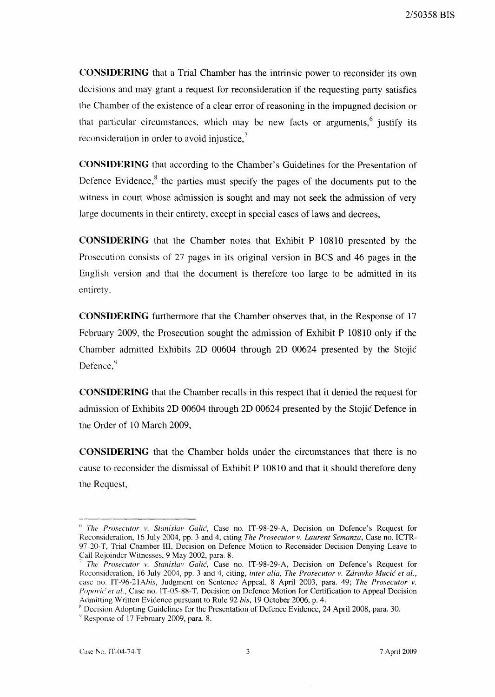**CONSIDERING** that a Trial Chamber has the intrinsic power to reconsider its own decisions and may grant a request for reconsideration if the requesting party satisfies the Chamber of the existence of a clear error of reasoning in the impugned decision or that particular circumstances, which may be new facts or arguments, ustify its reconsideration in order to avoid injustice.<sup>7</sup>

**CONSIDERING** that according to the Chamber's Guidelines for the Presentation of Defence Evidence,<sup>8</sup> the parties must specify the pages of the documents put to the witness in court whose admission is sought and may not seek the admission of very large documents in their entirety, except in special cases of laws and decrees,

**CONSIDERING** that the Chamber notes that Exhibit P 10810 presented by the Prosecution consists of 27 pages in its original version in BCS and 46 pages in the English version and that the document is therefore too large to be admitted in its entirety,

**CONSIDERING** furthermore that the Chamber observes that, in the Response of 17 February 2009, the Prosecution sought the admission of Exhibit P 10810 only if the Chamber admitted Exhibits 2D 00604 through 2D 00624 presented by the Stojic Defence, <sup>9</sup>

**CONSIDERING** that the Chamber recalls in this respect that it denied the request for admission of Exhibits 2D 00604 through 2D 00624 presented by the Stojic Defence in the Order of 10 March 2009,

**CONSIDERING** that the Chamber holds under the circumstances that there is no cause to reconsider the dismissal of Exhibit P 10810 and that it should therefore deny the Request,

<sup>&</sup>lt;sup>"</sup> The Prosecutor v. Stanislav Galic<sup>'</sup>, Case no. IT-98-29-A, Decision on Defence's Request for Reconsideration, 16 July 2004, pp. 3 and 4, citing *The Prosecutor v. Laurent Sernanza,* Case no. ICTR-97-20-T, Trial Chamber III, Decision on Defence Motion to Reconsider Decision Denying Leave to Call Rejoinder Witnesses, 9 May 2002, para. 8.

<sup>7</sup>*The Prosecutor v. Stanislav GaUc',* Case no. IT-98-29-A, Decision on Defence's Request for Reconsideration, 16 July 2004, pp. 3 and 4, citing, *inter alia, The Prosecutor v. Zdravko Mucić et al.*, case no. IT-96-21Ahis, Judgment on Sentence Appeal, 8 April 2003, para. 49; *The Prosecutor v. Popovic' et al.,* Case no. IT-05-88-T, Decision on Defence Motion for Certification to Appeal Decision Admitting Written Evidence pursuant to Rule 92 *his,* 19 October 2006, p. 4.

x Decision Adopting Guidelines for the Presentation of Defence Evidence, 24 April 2008, para. 30.

 $\degree$  Response of 17 February 2009, para. 8.